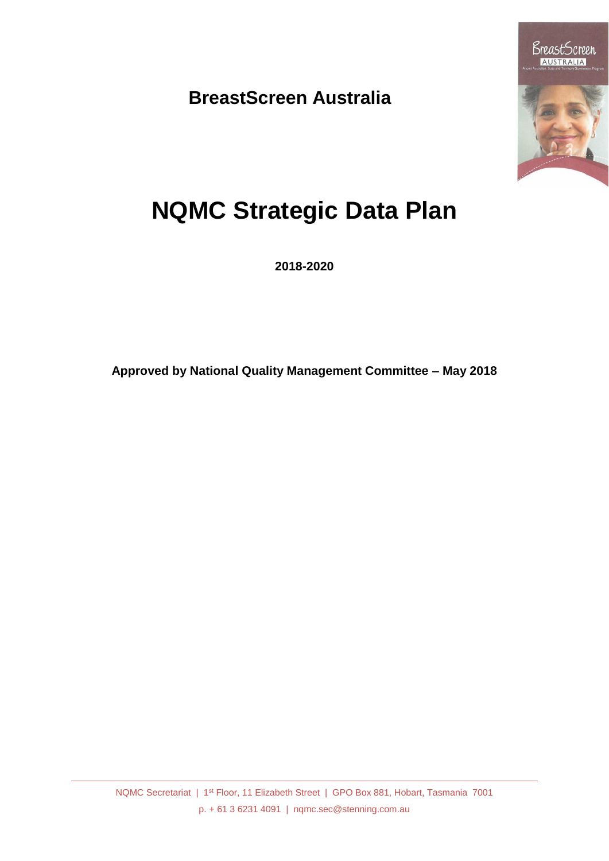**BreastScreen Australia**



# **NQMC Strategic Data Plan**

**2018-2020**

**Approved by National Quality Management Committee – May 2018**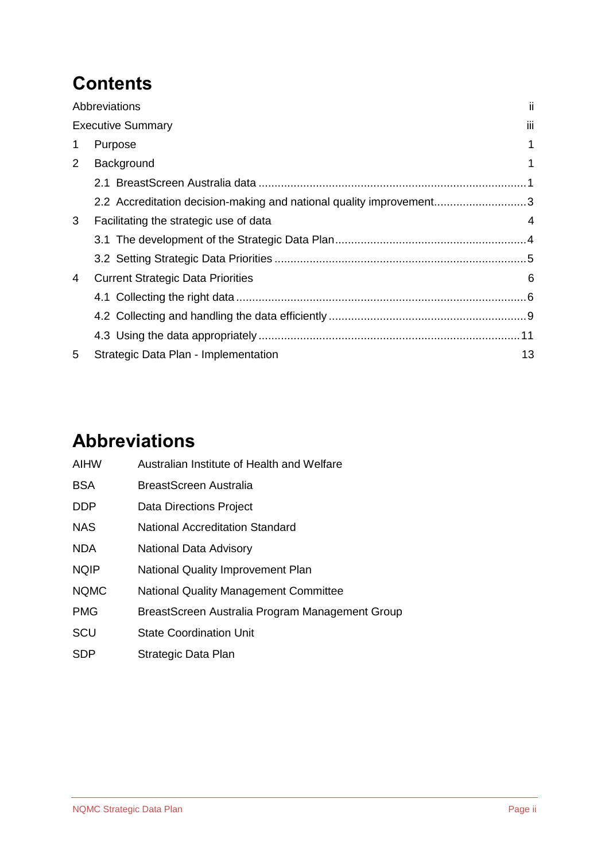### **Contents**

|                | Abbreviations                                                       | ji  |
|----------------|---------------------------------------------------------------------|-----|
|                | <b>Executive Summary</b>                                            | iii |
| 1              | Purpose                                                             | 1   |
| $\overline{2}$ | Background                                                          |     |
|                |                                                                     |     |
|                | 2.2 Accreditation decision-making and national quality improvement3 |     |
| 3              | Facilitating the strategic use of data                              | 4   |
|                |                                                                     |     |
|                |                                                                     |     |
| 4              | <b>Current Strategic Data Priorities</b>                            | 6   |
|                |                                                                     |     |
|                |                                                                     |     |
|                |                                                                     |     |
| 5              | Strategic Data Plan - Implementation                                | 13  |

### <span id="page-1-0"></span>**Abbreviations**

| AIHW        | Australian Institute of Health and Welfare      |
|-------------|-------------------------------------------------|
| <b>BSA</b>  | BreastScreen Australia                          |
| <b>DDP</b>  | Data Directions Project                         |
| <b>NAS</b>  | <b>National Accreditation Standard</b>          |
| <b>NDA</b>  | National Data Advisory                          |
| <b>NQIP</b> | National Quality Improvement Plan               |
| <b>NQMC</b> | <b>National Quality Management Committee</b>    |
| <b>PMG</b>  | BreastScreen Australia Program Management Group |
| SCU         | <b>State Coordination Unit</b>                  |
|             |                                                 |

SDP Strategic Data Plan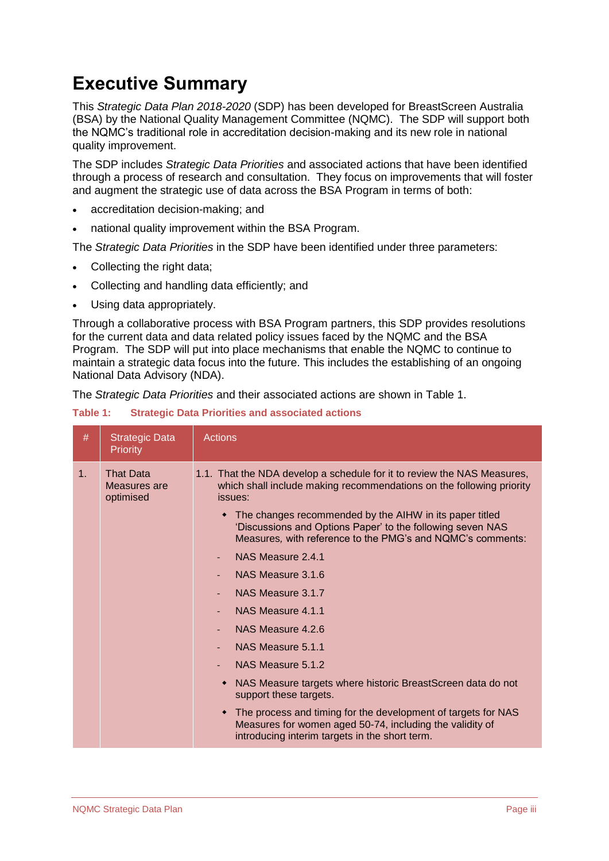### <span id="page-2-0"></span>**Executive Summary**

This *Strategic Data Plan 2018-2020* (SDP) has been developed for BreastScreen Australia (BSA) by the National Quality Management Committee (NQMC). The SDP will support both the NQMC's traditional role in accreditation decision-making and its new role in national quality improvement.

The SDP includes *Strategic Data Priorities* and associated actions that have been identified through a process of research and consultation. They focus on improvements that will foster and augment the strategic use of data across the BSA Program in terms of both:

- accreditation decision-making; and
- national quality improvement within the BSA Program.

The *Strategic Data Priorities* in the SDP have been identified under three parameters:

- Collecting the right data;
- Collecting and handling data efficiently; and
- Using data appropriately.

Through a collaborative process with BSA Program partners, this SDP provides resolutions for the current data and data related policy issues faced by the NQMC and the BSA Program. The SDP will put into place mechanisms that enable the NQMC to continue to maintain a strategic data focus into the future. This includes the establishing of an ongoing National Data Advisory (NDA).

The *Strategic Data Priorities* and their associated actions are shown in [Table 1.](#page-2-1)

<span id="page-2-1"></span>

| Table 1: |  |  |  |  | <b>Strategic Data Priorities and associated actions</b> |
|----------|--|--|--|--|---------------------------------------------------------|
|----------|--|--|--|--|---------------------------------------------------------|

| #              | <b>Strategic Data</b><br><b>Priority</b>      | <b>Actions</b>                                                                                                                                                                                                                                                                                                                                                                                                                                                                                                                                                                                                                                                                                                                                                                                                       |
|----------------|-----------------------------------------------|----------------------------------------------------------------------------------------------------------------------------------------------------------------------------------------------------------------------------------------------------------------------------------------------------------------------------------------------------------------------------------------------------------------------------------------------------------------------------------------------------------------------------------------------------------------------------------------------------------------------------------------------------------------------------------------------------------------------------------------------------------------------------------------------------------------------|
| 1 <sub>1</sub> | <b>That Data</b><br>Measures are<br>optimised | 1.1. That the NDA develop a schedule for it to review the NAS Measures,<br>which shall include making recommendations on the following priority<br>issues:<br>• The changes recommended by the AIHW in its paper titled<br>'Discussions and Options Paper' to the following seven NAS<br>Measures, with reference to the PMG's and NQMC's comments:<br>NAS Measure 2.4.1<br>$\overline{\phantom{0}}$<br>NAS Measure 3.1.6<br>NAS Measure 3.1.7<br>NAS Measure 4.1.1<br>NAS Measure 4.2.6<br>NAS Measure 5.1.1<br>NAS Measure 5.1.2<br>NAS Measure targets where historic BreastScreen data do not<br>٠<br>support these targets.<br>The process and timing for the development of targets for NAS<br>٠<br>Measures for women aged 50-74, including the validity of<br>introducing interim targets in the short term. |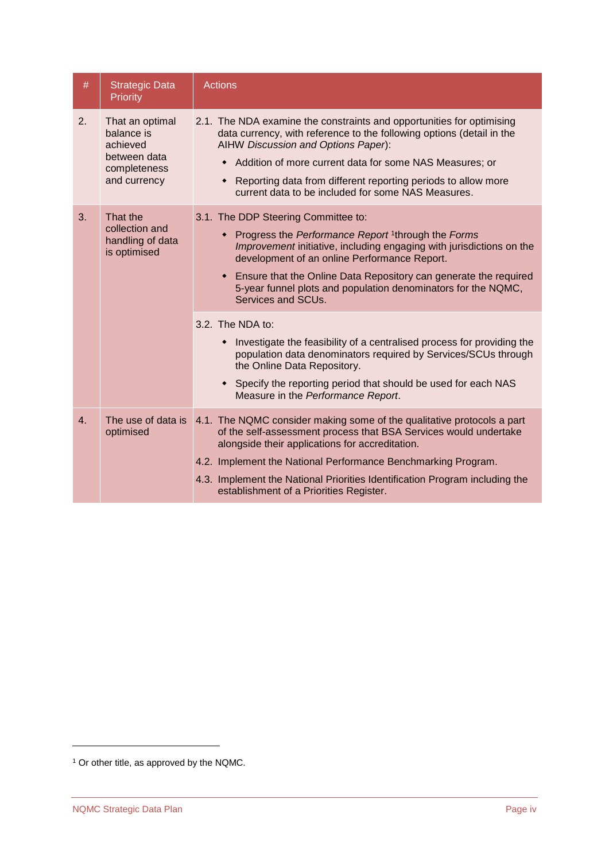| $\#$ | <b>Strategic Data</b><br>Priority                                                         | <b>Actions</b>                                                                                                                                                                                                                                                                                                                                                                           |
|------|-------------------------------------------------------------------------------------------|------------------------------------------------------------------------------------------------------------------------------------------------------------------------------------------------------------------------------------------------------------------------------------------------------------------------------------------------------------------------------------------|
| 2.   | That an optimal<br>balance is<br>achieved<br>between data<br>completeness<br>and currency | 2.1. The NDA examine the constraints and opportunities for optimising<br>data currency, with reference to the following options (detail in the<br>AIHW Discussion and Options Paper):<br>• Addition of more current data for some NAS Measures; or<br>Reporting data from different reporting periods to allow more<br>٠<br>current data to be included for some NAS Measures.           |
| 3.   | That the<br>collection and<br>handling of data<br>is optimised                            | 3.1. The DDP Steering Committee to:<br>Progress the Performance Report <sup>1</sup> through the Forms<br>Improvement initiative, including engaging with jurisdictions on the<br>development of an online Performance Report.<br>Ensure that the Online Data Repository can generate the required<br>5-year funnel plots and population denominators for the NQMC,<br>Services and SCUs. |
|      |                                                                                           | 3.2. The NDA to:<br>• Investigate the feasibility of a centralised process for providing the<br>population data denominators required by Services/SCUs through<br>the Online Data Repository.<br>Specify the reporting period that should be used for each NAS<br>Measure in the Performance Report.                                                                                     |
| 4.   | The use of data is<br>optimised                                                           | 4.1. The NQMC consider making some of the qualitative protocols a part<br>of the self-assessment process that BSA Services would undertake<br>alongside their applications for accreditation.<br>4.2. Implement the National Performance Benchmarking Program.<br>4.3. Implement the National Priorities Identification Program including the<br>establishment of a Priorities Register. |

<sup>1</sup> Or other title, as approved by the NQMC.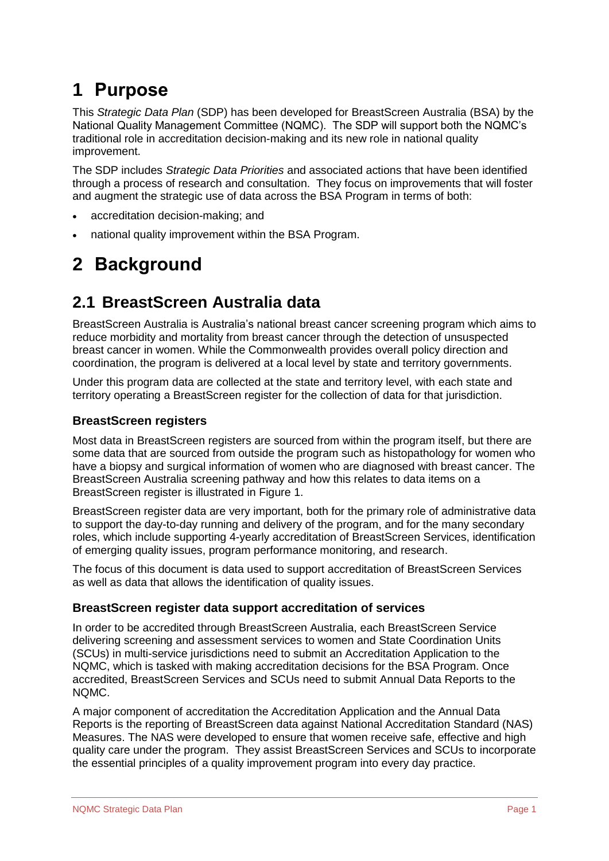### <span id="page-4-0"></span>**1 Purpose**

This *Strategic Data Plan* (SDP) has been developed for BreastScreen Australia (BSA) by the National Quality Management Committee (NQMC). The SDP will support both the NQMC's traditional role in accreditation decision-making and its new role in national quality improvement.

The SDP includes *Strategic Data Priorities* and associated actions that have been identified through a process of research and consultation. They focus on improvements that will foster and augment the strategic use of data across the BSA Program in terms of both:

- accreditation decision-making; and
- national quality improvement within the BSA Program.

## <span id="page-4-1"></span>**2 Background**

### <span id="page-4-2"></span>**2.1 BreastScreen Australia data**

BreastScreen Australia is Australia's national breast cancer screening program which aims to reduce morbidity and mortality from breast cancer through the detection of unsuspected breast cancer in women. While the Commonwealth provides overall policy direction and coordination, the program is delivered at a local level by state and territory governments.

Under this program data are collected at the state and territory level, with each state and territory operating a BreastScreen register for the collection of data for that jurisdiction.

#### **BreastScreen registers**

Most data in BreastScreen registers are sourced from within the program itself, but there are some data that are sourced from outside the program such as histopathology for women who have a biopsy and surgical information of women who are diagnosed with breast cancer. The BreastScreen Australia screening pathway and how this relates to data items on a BreastScreen register is illustrated in [Figure 1.](#page-5-0)

BreastScreen register data are very important, both for the primary role of administrative data to support the day-to-day running and delivery of the program, and for the many secondary roles, which include supporting 4-yearly accreditation of BreastScreen Services, identification of emerging quality issues, program performance monitoring, and research.

The focus of this document is data used to support accreditation of BreastScreen Services as well as data that allows the identification of quality issues.

#### **BreastScreen register data support accreditation of services**

In order to be accredited through BreastScreen Australia, each BreastScreen Service delivering screening and assessment services to women and State Coordination Units (SCUs) in multi-service jurisdictions need to submit an Accreditation Application to the NQMC, which is tasked with making accreditation decisions for the BSA Program. Once accredited, BreastScreen Services and SCUs need to submit Annual Data Reports to the NQMC.

A major component of accreditation the Accreditation Application and the Annual Data Reports is the reporting of BreastScreen data against National Accreditation Standard (NAS) Measures. The NAS were developed to ensure that women receive safe, effective and high quality care under the program. They assist BreastScreen Services and SCUs to incorporate the essential principles of a quality improvement program into every day practice.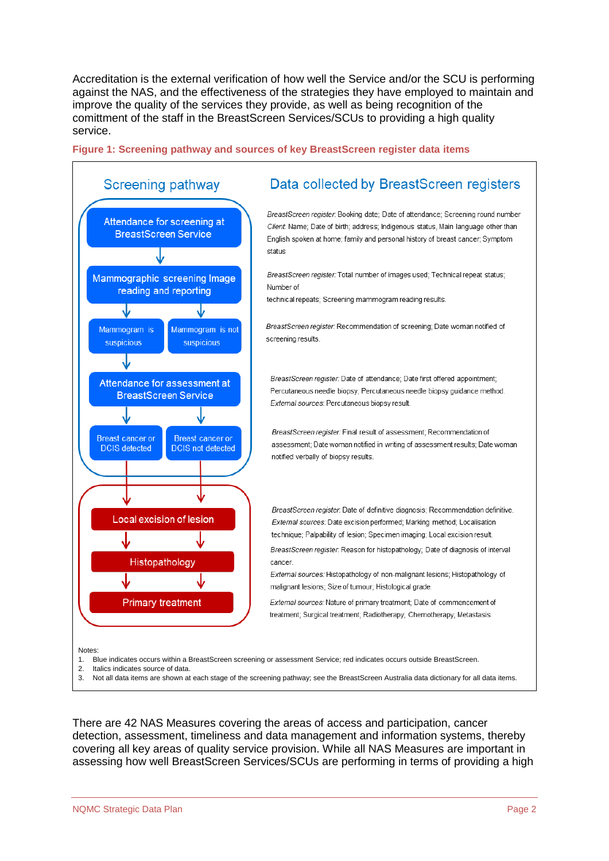Accreditation is the external verification of how well the Service and/or the SCU is performing against the NAS, and the effectiveness of the strategies they have employed to maintain and improve the quality of the services they provide, as well as being recognition of the comittment of the staff in the BreastScreen Services/SCUs to providing a high quality service.

<span id="page-5-0"></span>



Not all data items are shown at each stage of the screening pathway; see the BreastScreen Australia data dictionary for all data items.

There are 42 NAS Measures covering the areas of access and participation, cancer detection, assessment, timeliness and data management and information systems, thereby covering all key areas of quality service provision. While all NAS Measures are important in assessing how well BreastScreen Services/SCUs are performing in terms of providing a high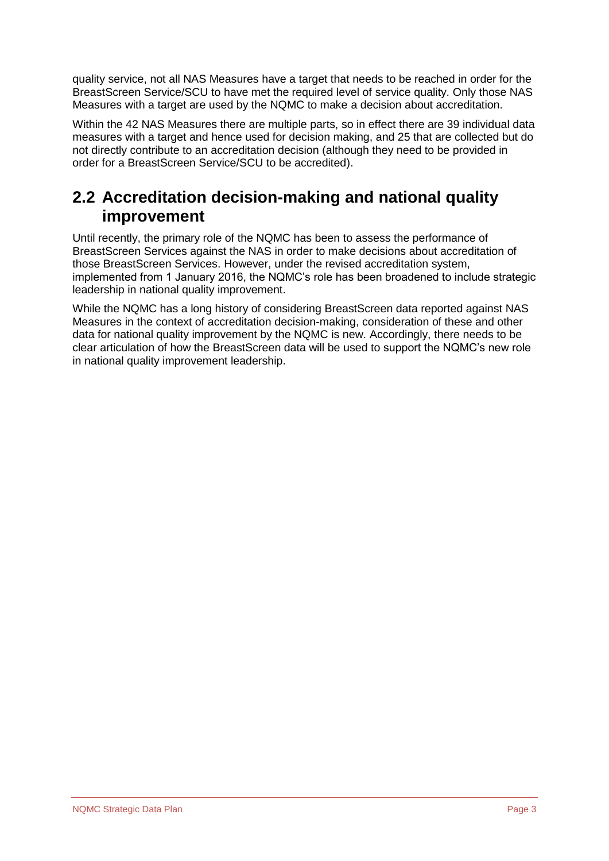quality service, not all NAS Measures have a target that needs to be reached in order for the BreastScreen Service/SCU to have met the required level of service quality. Only those NAS Measures with a target are used by the NQMC to make a decision about accreditation.

Within the 42 NAS Measures there are multiple parts, so in effect there are 39 individual data measures with a target and hence used for decision making, and 25 that are collected but do not directly contribute to an accreditation decision (although they need to be provided in order for a BreastScreen Service/SCU to be accredited).

### <span id="page-6-0"></span>**2.2 Accreditation decision-making and national quality improvement**

Until recently, the primary role of the NQMC has been to assess the performance of BreastScreen Services against the NAS in order to make decisions about accreditation of those BreastScreen Services. However, under the revised accreditation system, implemented from 1 January 2016, the NQMC's role has been broadened to include strategic leadership in national quality improvement.

While the NQMC has a long history of considering BreastScreen data reported against NAS Measures in the context of accreditation decision-making, consideration of these and other data for national quality improvement by the NQMC is new. Accordingly, there needs to be clear articulation of how the BreastScreen data will be used to support the NQMC's new role in national quality improvement leadership.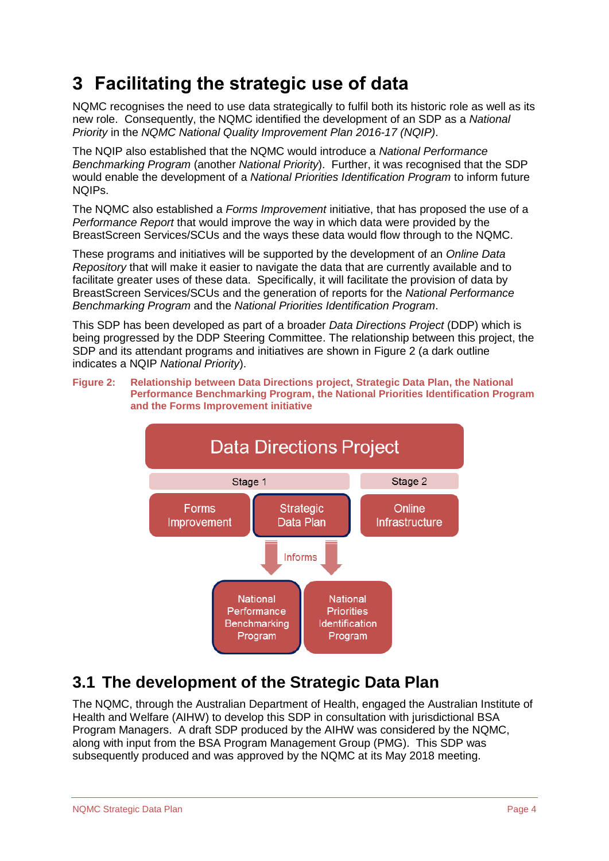### <span id="page-7-0"></span>**3 Facilitating the strategic use of data**

NQMC recognises the need to use data strategically to fulfil both its historic role as well as its new role. Consequently, the NQMC identified the development of an SDP as a *National Priority* in the *NQMC National Quality Improvement Plan 2016-17 (NQIP)*.

The NQIP also established that the NQMC would introduce a *National Performance Benchmarking Program* (another *National Priority*). Further, it was recognised that the SDP would enable the development of a *National Priorities Identification Program* to inform future NQIPs.

The NQMC also established a *Forms Improvement* initiative, that has proposed the use of a *Performance Report* that would improve the way in which data were provided by the BreastScreen Services/SCUs and the ways these data would flow through to the NQMC.

These programs and initiatives will be supported by the development of an *Online Data Repository* that will make it easier to navigate the data that are currently available and to facilitate greater uses of these data. Specifically, it will facilitate the provision of data by BreastScreen Services/SCUs and the generation of reports for the *National Performance Benchmarking Program* and the *National Priorities Identification Program*.

This SDP has been developed as part of a broader *Data Directions Project* (DDP) which is being progressed by the DDP Steering Committee. The relationship between this project, the SDP and its attendant programs and initiatives are shown in [Figure 2](#page-7-2) (a dark outline indicates a NQIP *National Priority*).

<span id="page-7-2"></span>**Figure 2: Relationship between Data Directions project, Strategic Data Plan, the National Performance Benchmarking Program, the National Priorities Identification Program and the Forms Improvement initiative** 



### <span id="page-7-1"></span>**3.1 The development of the Strategic Data Plan**

The NQMC, through the Australian Department of Health, engaged the Australian Institute of Health and Welfare (AIHW) to develop this SDP in consultation with jurisdictional BSA Program Managers. A draft SDP produced by the AIHW was considered by the NQMC, along with input from the BSA Program Management Group (PMG). This SDP was subsequently produced and was approved by the NQMC at its May 2018 meeting.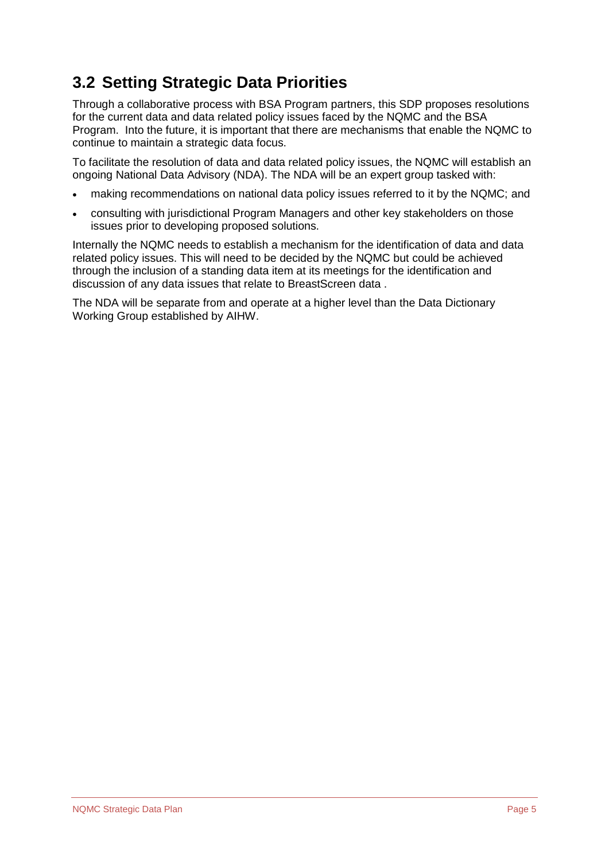### <span id="page-8-0"></span>**3.2 Setting Strategic Data Priorities**

Through a collaborative process with BSA Program partners, this SDP proposes resolutions for the current data and data related policy issues faced by the NQMC and the BSA Program. Into the future, it is important that there are mechanisms that enable the NQMC to continue to maintain a strategic data focus.

To facilitate the resolution of data and data related policy issues, the NQMC will establish an ongoing National Data Advisory (NDA). The NDA will be an expert group tasked with:

- making recommendations on national data policy issues referred to it by the NQMC; and
- consulting with jurisdictional Program Managers and other key stakeholders on those issues prior to developing proposed solutions.

Internally the NQMC needs to establish a mechanism for the identification of data and data related policy issues. This will need to be decided by the NQMC but could be achieved through the inclusion of a standing data item at its meetings for the identification and discussion of any data issues that relate to BreastScreen data .

The NDA will be separate from and operate at a higher level than the Data Dictionary Working Group established by AIHW.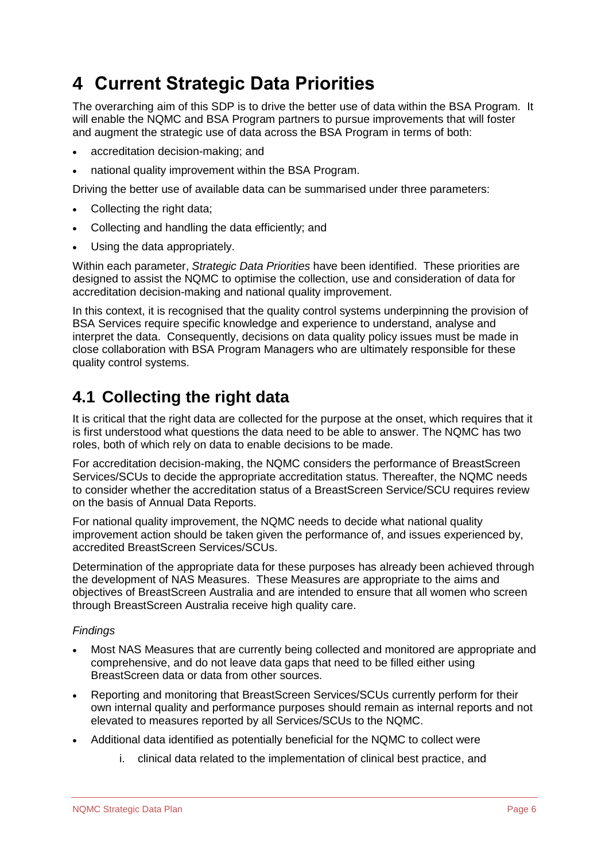### <span id="page-9-0"></span>**4 Current Strategic Data Priorities**

The overarching aim of this SDP is to drive the better use of data within the BSA Program. It will enable the NQMC and BSA Program partners to pursue improvements that will foster and augment the strategic use of data across the BSA Program in terms of both:

- accreditation decision-making; and
- national quality improvement within the BSA Program.

Driving the better use of available data can be summarised under three parameters:

- Collecting the right data:
- Collecting and handling the data efficiently; and
- Using the data appropriately.

Within each parameter, *Strategic Data Priorities* have been identified. These priorities are designed to assist the NQMC to optimise the collection, use and consideration of data for accreditation decision-making and national quality improvement.

In this context, it is recognised that the quality control systems underpinning the provision of BSA Services require specific knowledge and experience to understand, analyse and interpret the data. Consequently, decisions on data quality policy issues must be made in close collaboration with BSA Program Managers who are ultimately responsible for these quality control systems.

### <span id="page-9-1"></span>**4.1 Collecting the right data**

It is critical that the right data are collected for the purpose at the onset, which requires that it is first understood what questions the data need to be able to answer. The NQMC has two roles, both of which rely on data to enable decisions to be made.

For accreditation decision-making, the NQMC considers the performance of BreastScreen Services/SCUs to decide the appropriate accreditation status. Thereafter, the NQMC needs to consider whether the accreditation status of a BreastScreen Service/SCU requires review on the basis of Annual Data Reports.

For national quality improvement, the NQMC needs to decide what national quality improvement action should be taken given the performance of, and issues experienced by, accredited BreastScreen Services/SCUs.

Determination of the appropriate data for these purposes has already been achieved through the development of NAS Measures. These Measures are appropriate to the aims and objectives of BreastScreen Australia and are intended to ensure that all women who screen through BreastScreen Australia receive high quality care.

#### *Findings*

- Most NAS Measures that are currently being collected and monitored are appropriate and comprehensive, and do not leave data gaps that need to be filled either using BreastScreen data or data from other sources.
- Reporting and monitoring that BreastScreen Services/SCUs currently perform for their own internal quality and performance purposes should remain as internal reports and not elevated to measures reported by all Services/SCUs to the NQMC.
- Additional data identified as potentially beneficial for the NQMC to collect were
	- i. clinical data related to the implementation of clinical best practice, and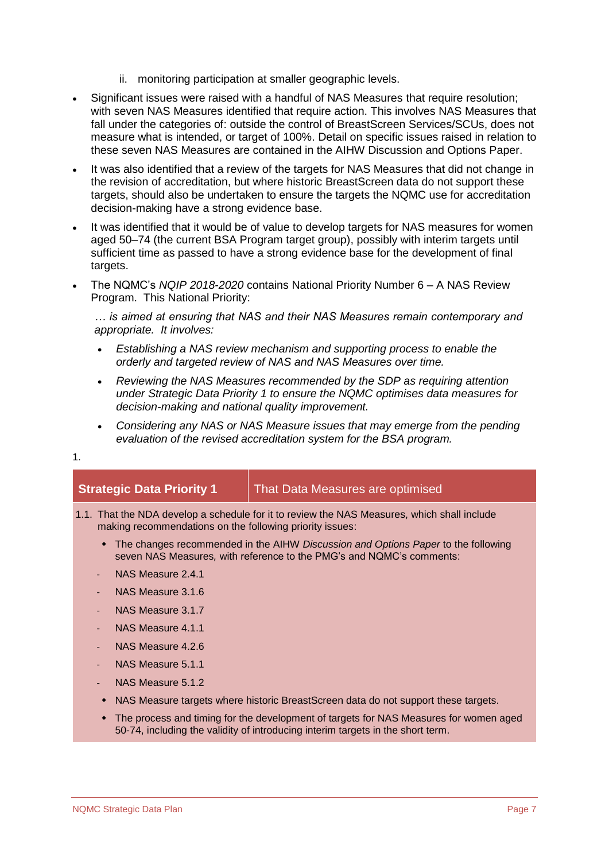- ii. monitoring participation at smaller geographic levels.
- Significant issues were raised with a handful of NAS Measures that require resolution; with seven NAS Measures identified that require action. This involves NAS Measures that fall under the categories of: outside the control of BreastScreen Services/SCUs, does not measure what is intended, or target of 100%. Detail on specific issues raised in relation to these seven NAS Measures are contained in the AIHW Discussion and Options Paper.
- It was also identified that a review of the targets for NAS Measures that did not change in the revision of accreditation, but where historic BreastScreen data do not support these targets, should also be undertaken to ensure the targets the NQMC use for accreditation decision-making have a strong evidence base.
- It was identified that it would be of value to develop targets for NAS measures for women aged 50–74 (the current BSA Program target group), possibly with interim targets until sufficient time as passed to have a strong evidence base for the development of final targets.
- The NQMC's *NQIP 2018-2020* contains National Priority Number 6 A NAS Review Program. This National Priority:

*… is aimed at ensuring that NAS and their NAS Measures remain contemporary and appropriate. It involves:*

- *Establishing a NAS review mechanism and supporting process to enable the orderly and targeted review of NAS and NAS Measures over time.*
- *Reviewing the NAS Measures recommended by the SDP as requiring attention under Strategic Data Priority 1 to ensure the NQMC optimises data measures for decision-making and national quality improvement.*
- *Considering any NAS or NAS Measure issues that may emerge from the pending evaluation of the revised accreditation system for the BSA program.*

| <b>Strategic Data Priority 1</b>                         | That Data Measures are optimised                                                                                                                                         |
|----------------------------------------------------------|--------------------------------------------------------------------------------------------------------------------------------------------------------------------------|
| making recommendations on the following priority issues: | 1.1. That the NDA develop a schedule for it to review the NAS Measures, which shall include                                                                              |
|                                                          | • The changes recommended in the AIHW Discussion and Options Paper to the following<br>seven NAS Measures, with reference to the PMG's and NQMC's comments:              |
| NAS Measure 2.4.1                                        |                                                                                                                                                                          |
| NAS Measure 3.1.6                                        |                                                                                                                                                                          |
| NAS Measure 3.1.7                                        |                                                                                                                                                                          |
| NAS Measure 4.1.1                                        |                                                                                                                                                                          |
| NAS Measure 4.2.6                                        |                                                                                                                                                                          |
| NAS Measure 5.1.1                                        |                                                                                                                                                                          |
| NAS Measure 5.1.2                                        |                                                                                                                                                                          |
| ٠                                                        | NAS Measure targets where historic BreastScreen data do not support these targets.                                                                                       |
|                                                          | The process and timing for the development of targets for NAS Measures for women aged<br>50-74, including the validity of introducing interim targets in the short term. |

1.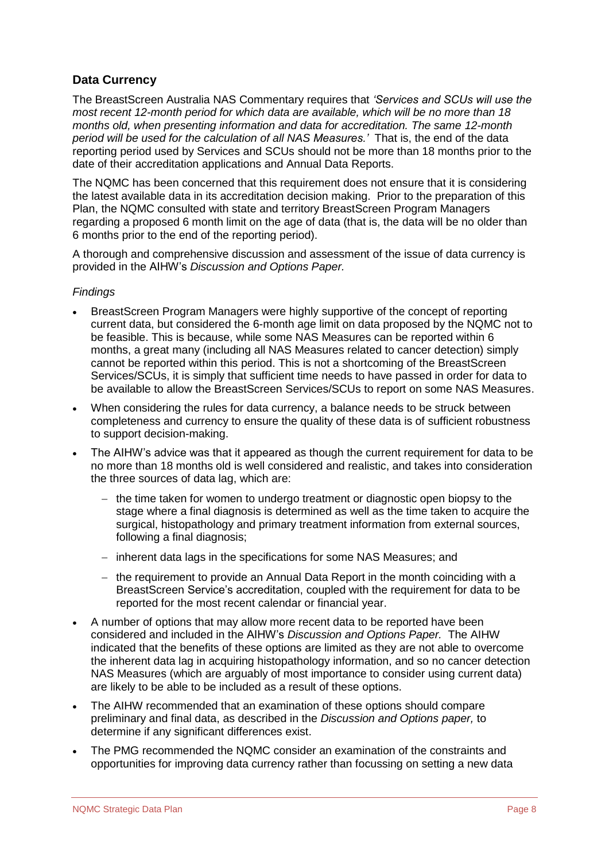#### **Data Currency**

The BreastScreen Australia NAS Commentary requires that *'Services and SCUs will use the most recent 12-month period for which data are available, which will be no more than 18 months old, when presenting information and data for accreditation. The same 12-month period will be used for the calculation of all NAS Measures.'* That is, the end of the data reporting period used by Services and SCUs should not be more than 18 months prior to the date of their accreditation applications and Annual Data Reports.

The NQMC has been concerned that this requirement does not ensure that it is considering the latest available data in its accreditation decision making. Prior to the preparation of this Plan, the NQMC consulted with state and territory BreastScreen Program Managers regarding a proposed 6 month limit on the age of data (that is, the data will be no older than 6 months prior to the end of the reporting period).

A thorough and comprehensive discussion and assessment of the issue of data currency is provided in the AIHW's *Discussion and Options Paper.*

#### *Findings*

- BreastScreen Program Managers were highly supportive of the concept of reporting current data, but considered the 6-month age limit on data proposed by the NQMC not to be feasible. This is because, while some NAS Measures can be reported within 6 months, a great many (including all NAS Measures related to cancer detection) simply cannot be reported within this period. This is not a shortcoming of the BreastScreen Services/SCUs, it is simply that sufficient time needs to have passed in order for data to be available to allow the BreastScreen Services/SCUs to report on some NAS Measures.
- When considering the rules for data currency, a balance needs to be struck between completeness and currency to ensure the quality of these data is of sufficient robustness to support decision-making.
- The AIHW's advice was that it appeared as though the current requirement for data to be no more than 18 months old is well considered and realistic, and takes into consideration the three sources of data lag, which are:
	- − the time taken for women to undergo treatment or diagnostic open biopsy to the stage where a final diagnosis is determined as well as the time taken to acquire the surgical, histopathology and primary treatment information from external sources, following a final diagnosis;
	- − inherent data lags in the specifications for some NAS Measures; and
	- − the requirement to provide an Annual Data Report in the month coinciding with a BreastScreen Service's accreditation, coupled with the requirement for data to be reported for the most recent calendar or financial year.
- A number of options that may allow more recent data to be reported have been considered and included in the AIHW's *Discussion and Options Paper.* The AIHW indicated that the benefits of these options are limited as they are not able to overcome the inherent data lag in acquiring histopathology information, and so no cancer detection NAS Measures (which are arguably of most importance to consider using current data) are likely to be able to be included as a result of these options.
- The AIHW recommended that an examination of these options should compare preliminary and final data, as described in the *Discussion and Options paper,* to determine if any significant differences exist.
- The PMG recommended the NQMC consider an examination of the constraints and opportunities for improving data currency rather than focussing on setting a new data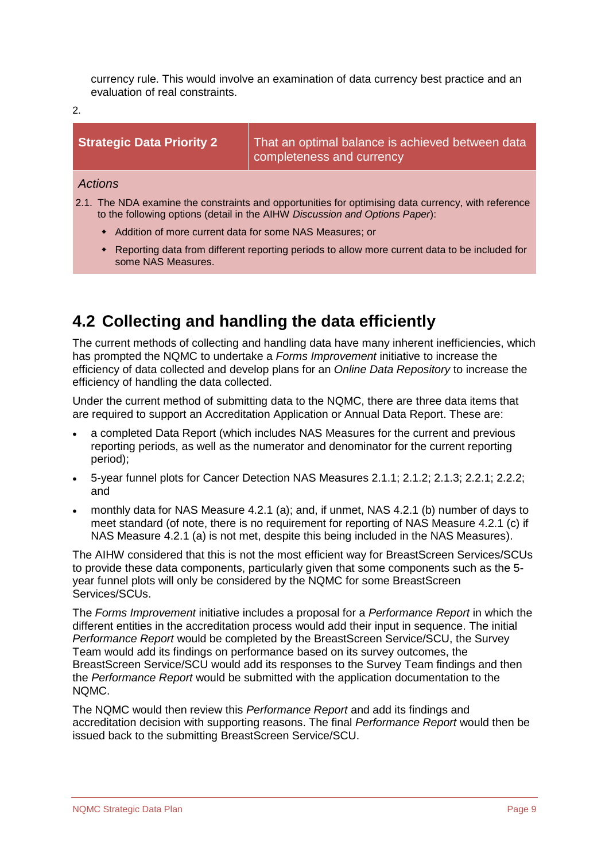currency rule. This would involve an examination of data currency best practice and an evaluation of real constraints.

2.

| <b>Strategic Data Priority 2</b>                                                                                                                                                   | That an optimal balance is achieved between data<br>completeness and currency                   |  |  |  |  |
|------------------------------------------------------------------------------------------------------------------------------------------------------------------------------------|-------------------------------------------------------------------------------------------------|--|--|--|--|
| <b>Actions</b>                                                                                                                                                                     |                                                                                                 |  |  |  |  |
| 2.1. The NDA examine the constraints and opportunities for optimising data currency, with reference<br>to the following options (detail in the AIHW Discussion and Options Paper): |                                                                                                 |  |  |  |  |
| • Addition of more current data for some NAS Measures; or                                                                                                                          |                                                                                                 |  |  |  |  |
| some NAS Measures.                                                                                                                                                                 | • Reporting data from different reporting periods to allow more current data to be included for |  |  |  |  |

### <span id="page-12-0"></span>**4.2 Collecting and handling the data efficiently**

The current methods of collecting and handling data have many inherent inefficiencies, which has prompted the NQMC to undertake a *Forms Improvement* initiative to increase the efficiency of data collected and develop plans for an *Online Data Repository* to increase the efficiency of handling the data collected.

Under the current method of submitting data to the NQMC, there are three data items that are required to support an Accreditation Application or Annual Data Report. These are:

- a completed Data Report (which includes NAS Measures for the current and previous reporting periods, as well as the numerator and denominator for the current reporting period);
- 5-year funnel plots for Cancer Detection NAS Measures 2.1.1; 2.1.2; 2.1.3; 2.2.1; 2.2.2; and
- monthly data for NAS Measure 4.2.1 (a); and, if unmet, NAS 4.2.1 (b) number of days to meet standard (of note, there is no requirement for reporting of NAS Measure 4.2.1 (c) if NAS Measure 4.2.1 (a) is not met, despite this being included in the NAS Measures).

The AIHW considered that this is not the most efficient way for BreastScreen Services/SCUs to provide these data components, particularly given that some components such as the 5 year funnel plots will only be considered by the NQMC for some BreastScreen Services/SCUs.

The *Forms Improvement* initiative includes a proposal for a *Performance Report* in which the different entities in the accreditation process would add their input in sequence. The initial *Performance Report* would be completed by the BreastScreen Service/SCU, the Survey Team would add its findings on performance based on its survey outcomes, the BreastScreen Service/SCU would add its responses to the Survey Team findings and then the *Performance Report* would be submitted with the application documentation to the NQMC.

The NQMC would then review this *Performance Report* and add its findings and accreditation decision with supporting reasons. The final *Performance Report* would then be issued back to the submitting BreastScreen Service/SCU.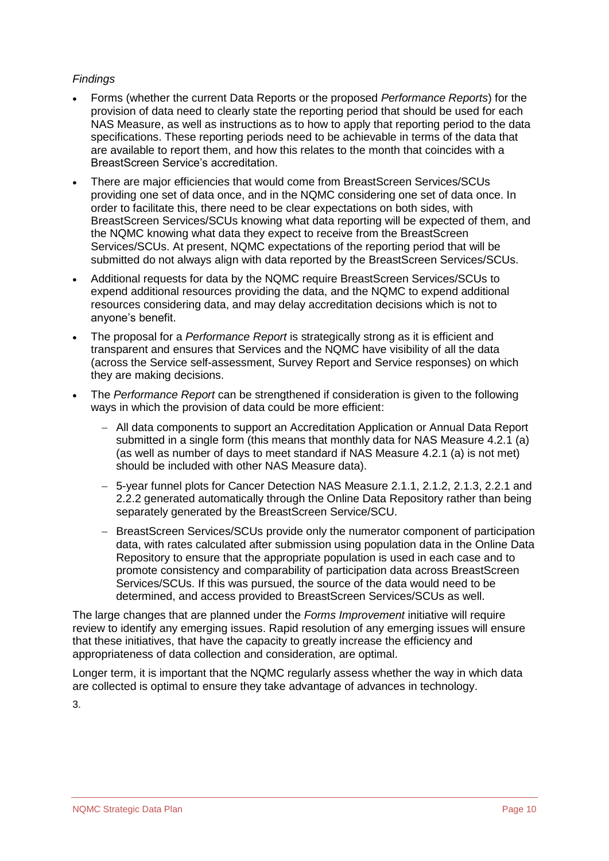#### *Findings*

- Forms (whether the current Data Reports or the proposed *Performance Reports*) for the provision of data need to clearly state the reporting period that should be used for each NAS Measure, as well as instructions as to how to apply that reporting period to the data specifications. These reporting periods need to be achievable in terms of the data that are available to report them, and how this relates to the month that coincides with a BreastScreen Service's accreditation.
- There are major efficiencies that would come from BreastScreen Services/SCUs providing one set of data once, and in the NQMC considering one set of data once. In order to facilitate this, there need to be clear expectations on both sides, with BreastScreen Services/SCUs knowing what data reporting will be expected of them, and the NQMC knowing what data they expect to receive from the BreastScreen Services/SCUs. At present, NQMC expectations of the reporting period that will be submitted do not always align with data reported by the BreastScreen Services/SCUs.
- Additional requests for data by the NQMC require BreastScreen Services/SCUs to expend additional resources providing the data, and the NQMC to expend additional resources considering data, and may delay accreditation decisions which is not to anyone's benefit.
- The proposal for a *Performance Report* is strategically strong as it is efficient and transparent and ensures that Services and the NQMC have visibility of all the data (across the Service self-assessment, Survey Report and Service responses) on which they are making decisions.
- The *Performance Report* can be strengthened if consideration is given to the following ways in which the provision of data could be more efficient:
	- − All data components to support an Accreditation Application or Annual Data Report submitted in a single form (this means that monthly data for NAS Measure 4.2.1 (a) (as well as number of days to meet standard if NAS Measure 4.2.1 (a) is not met) should be included with other NAS Measure data).
	- − 5-year funnel plots for Cancer Detection NAS Measure 2.1.1, 2.1.2, 2.1.3, 2.2.1 and 2.2.2 generated automatically through the Online Data Repository rather than being separately generated by the BreastScreen Service/SCU.
	- − BreastScreen Services/SCUs provide only the numerator component of participation data, with rates calculated after submission using population data in the Online Data Repository to ensure that the appropriate population is used in each case and to promote consistency and comparability of participation data across BreastScreen Services/SCUs. If this was pursued, the source of the data would need to be determined, and access provided to BreastScreen Services/SCUs as well.

The large changes that are planned under the *Forms Improvement* initiative will require review to identify any emerging issues. Rapid resolution of any emerging issues will ensure that these initiatives, that have the capacity to greatly increase the efficiency and appropriateness of data collection and consideration, are optimal.

Longer term, it is important that the NQMC regularly assess whether the way in which data are collected is optimal to ensure they take advantage of advances in technology.

3.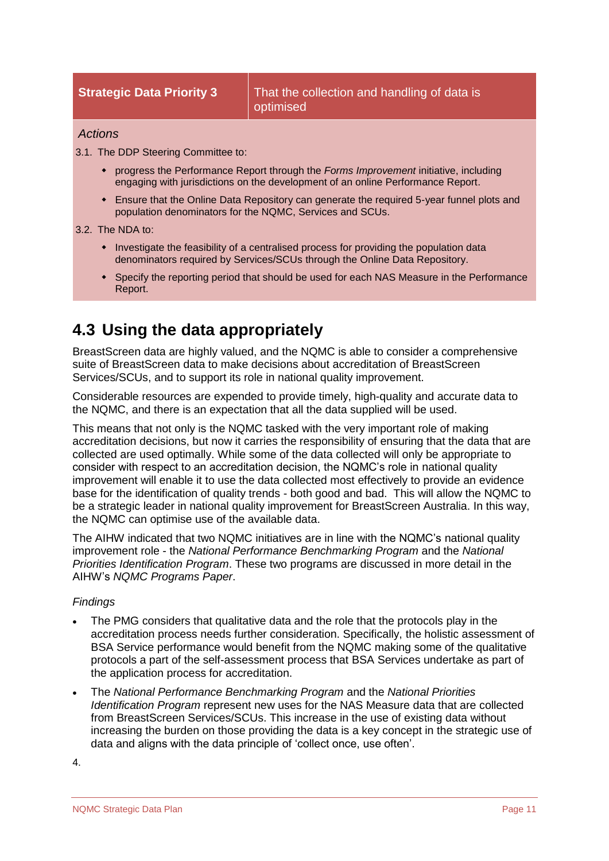#### *Actions*

3.1. The DDP Steering Committee to:

- progress the Performance Report through the *Forms Improvement* initiative, including engaging with jurisdictions on the development of an online Performance Report.
- Ensure that the Online Data Repository can generate the required 5-year funnel plots and population denominators for the NQMC, Services and SCUs.

#### 3.2. The NDA to:

- Investigate the feasibility of a centralised process for providing the population data denominators required by Services/SCUs through the Online Data Repository.
- Specify the reporting period that should be used for each NAS Measure in the Performance Report.

### <span id="page-14-0"></span>**4.3 Using the data appropriately**

BreastScreen data are highly valued, and the NQMC is able to consider a comprehensive suite of BreastScreen data to make decisions about accreditation of BreastScreen Services/SCUs, and to support its role in national quality improvement.

Considerable resources are expended to provide timely, high-quality and accurate data to the NQMC, and there is an expectation that all the data supplied will be used.

This means that not only is the NQMC tasked with the very important role of making accreditation decisions, but now it carries the responsibility of ensuring that the data that are collected are used optimally. While some of the data collected will only be appropriate to consider with respect to an accreditation decision, the NQMC's role in national quality improvement will enable it to use the data collected most effectively to provide an evidence base for the identification of quality trends - both good and bad. This will allow the NQMC to be a strategic leader in national quality improvement for BreastScreen Australia. In this way, the NQMC can optimise use of the available data.

The AIHW indicated that two NQMC initiatives are in line with the NQMC's national quality improvement role - the *National Performance Benchmarking Program* and the *National Priorities Identification Program*. These two programs are discussed in more detail in the AIHW's *NQMC Programs Paper*.

#### *Findings*

- The PMG considers that qualitative data and the role that the protocols play in the accreditation process needs further consideration. Specifically, the holistic assessment of BSA Service performance would benefit from the NQMC making some of the qualitative protocols a part of the self-assessment process that BSA Services undertake as part of the application process for accreditation.
- The *National Performance Benchmarking Program* and the *National Priorities Identification Program* represent new uses for the NAS Measure data that are collected from BreastScreen Services/SCUs. This increase in the use of existing data without increasing the burden on those providing the data is a key concept in the strategic use of data and aligns with the data principle of 'collect once, use often'.

4.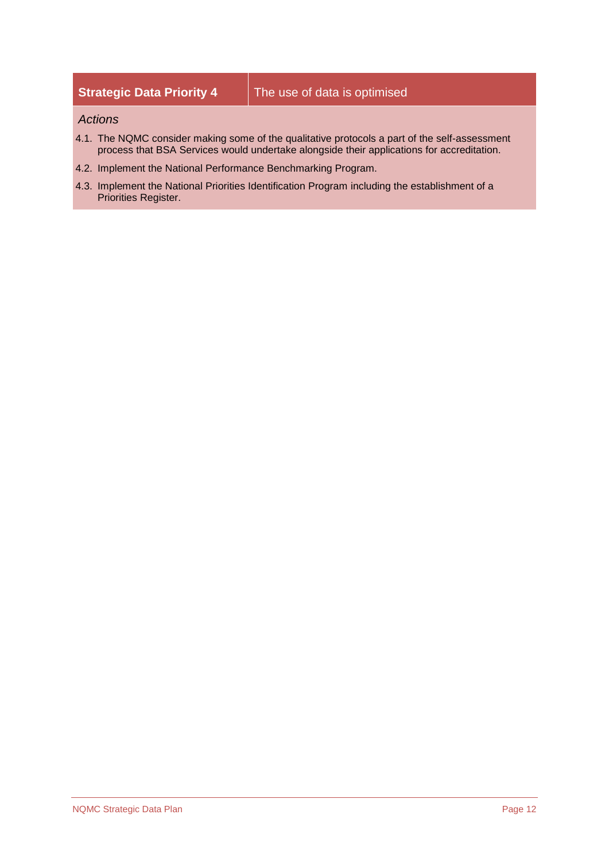### **Strategic Data Priority 4** The use of data is optimised

#### *Actions*

- 4.1. The NQMC consider making some of the qualitative protocols a part of the self-assessment process that BSA Services would undertake alongside their applications for accreditation.
- 4.2. Implement the National Performance Benchmarking Program.
- 4.3. Implement the National Priorities Identification Program including the establishment of a Priorities Register.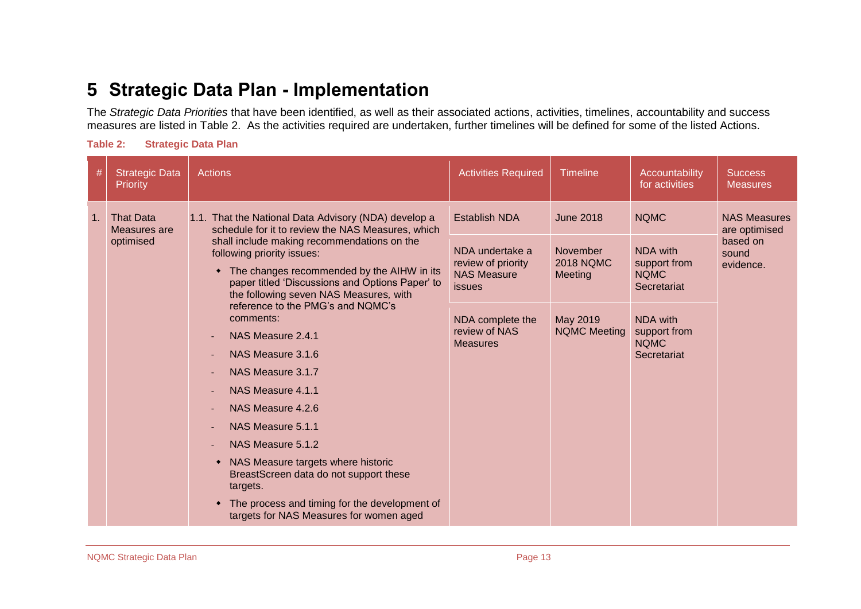### **5 Strategic Data Plan - Implementation**

The *Strategic Data Priorities* that have been identified, as well as their associated actions, activities, timelines, accountability and success measures are listed in [Table 2.](#page-16-1) As the activities required are undertaken, further timelines will be defined for some of the listed Actions.

<span id="page-16-1"></span>

<span id="page-16-0"></span>

| #  | <b>Strategic Data</b><br>Priority             | <b>Actions</b>                                                                                                                                                                                                                                                                                                                                                                                                                                                                                                                                                                                                                                                                                                                                                                                                                      | <b>Activities Required</b>                                                                                                                                   | <b>Timeline</b>                                                                                | Accountability<br>for activities                                                                                                | <b>Success</b><br><b>Measures</b>                                      |
|----|-----------------------------------------------|-------------------------------------------------------------------------------------------------------------------------------------------------------------------------------------------------------------------------------------------------------------------------------------------------------------------------------------------------------------------------------------------------------------------------------------------------------------------------------------------------------------------------------------------------------------------------------------------------------------------------------------------------------------------------------------------------------------------------------------------------------------------------------------------------------------------------------------|--------------------------------------------------------------------------------------------------------------------------------------------------------------|------------------------------------------------------------------------------------------------|---------------------------------------------------------------------------------------------------------------------------------|------------------------------------------------------------------------|
| 1. | <b>That Data</b><br>Measures are<br>optimised | 1.1. That the National Data Advisory (NDA) develop a<br>schedule for it to review the NAS Measures, which<br>shall include making recommendations on the<br>following priority issues:<br>The changes recommended by the AIHW in its<br>paper titled 'Discussions and Options Paper' to<br>the following seven NAS Measures, with<br>reference to the PMG's and NQMC's<br>comments:<br>NAS Measure 2.4.1<br>$\sim$<br>NAS Measure 3.1.6<br>NAS Measure 3.1.7<br>$\sim$<br>NAS Measure 4.1.1<br>$\sim$<br>NAS Measure 4.2.6<br>$\overline{\phantom{a}}$<br>NAS Measure 5.1.1<br>$\sim$<br>NAS Measure 5.1.2<br>$\overline{\phantom{a}}$<br>NAS Measure targets where historic<br>۰<br>BreastScreen data do not support these<br>targets.<br>The process and timing for the development of<br>targets for NAS Measures for women aged | <b>Establish NDA</b><br>NDA undertake a<br>review of priority<br><b>NAS Measure</b><br><b>issues</b><br>NDA complete the<br>review of NAS<br><b>Measures</b> | <b>June 2018</b><br>November<br><b>2018 NOMC</b><br>Meeting<br>May 2019<br><b>NQMC Meeting</b> | <b>NQMC</b><br>NDA with<br>support from<br><b>NQMC</b><br>Secretariat<br>NDA with<br>support from<br><b>NQMC</b><br>Secretariat | <b>NAS Measures</b><br>are optimised<br>based on<br>sound<br>evidence. |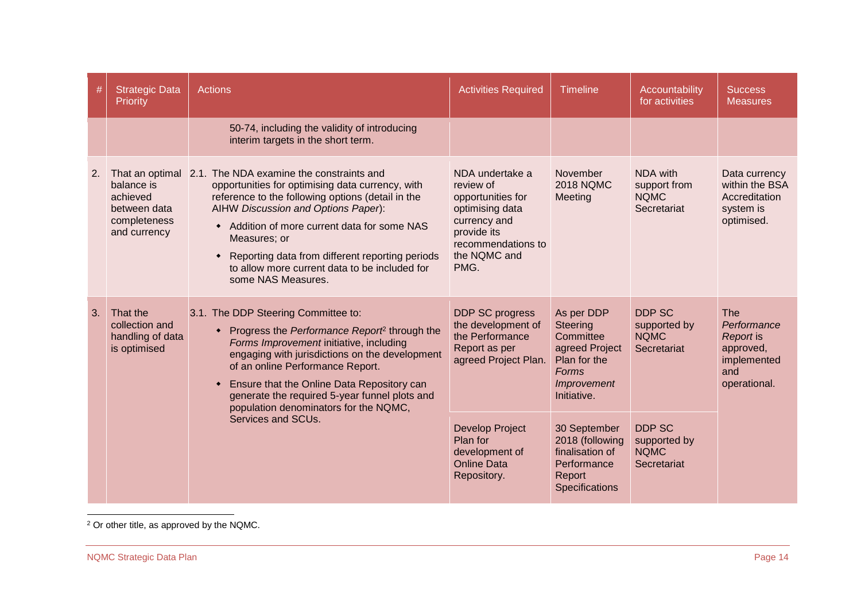| #             | <b>Strategic Data</b><br>Priority                                                                                                                                                                                                                                                                                                                                                                                                                                | <b>Actions</b>                                                                                                                                                                                                                                                                                                                                                                   | <b>Activities Required</b>                                                                                                                        | <b>Timeline</b>                                                                                              | Accountability<br>for activities                       | <b>Success</b><br><b>Measures</b>                                                  |
|---------------|------------------------------------------------------------------------------------------------------------------------------------------------------------------------------------------------------------------------------------------------------------------------------------------------------------------------------------------------------------------------------------------------------------------------------------------------------------------|----------------------------------------------------------------------------------------------------------------------------------------------------------------------------------------------------------------------------------------------------------------------------------------------------------------------------------------------------------------------------------|---------------------------------------------------------------------------------------------------------------------------------------------------|--------------------------------------------------------------------------------------------------------------|--------------------------------------------------------|------------------------------------------------------------------------------------|
|               |                                                                                                                                                                                                                                                                                                                                                                                                                                                                  | 50-74, including the validity of introducing<br>interim targets in the short term.                                                                                                                                                                                                                                                                                               |                                                                                                                                                   |                                                                                                              |                                                        |                                                                                    |
| <sup>2.</sup> | That an optimal<br>balance is<br>achieved<br>between data<br>completeness<br>and currency                                                                                                                                                                                                                                                                                                                                                                        | 2.1. The NDA examine the constraints and<br>opportunities for optimising data currency, with<br>reference to the following options (detail in the<br>AIHW Discussion and Options Paper):<br>Addition of more current data for some NAS<br>Measures; or<br>Reporting data from different reporting periods<br>to allow more current data to be included for<br>some NAS Measures. | NDA undertake a<br>review of<br>opportunities for<br>optimising data<br>currency and<br>provide its<br>recommendations to<br>the NQMC and<br>PMG. | November<br><b>2018 NQMC</b><br>Meeting                                                                      | NDA with<br>support from<br><b>NQMC</b><br>Secretariat | Data currency<br>within the BSA<br>Accreditation<br>system is<br>optimised.        |
| 3.            | That the<br>3.1. The DDP Steering Committee to:<br>collection and<br>Progress the Performance Report <sup>2</sup> through the<br>handling of data<br>Forms Improvement initiative, including<br>is optimised<br>engaging with jurisdictions on the development<br>of an online Performance Report.<br>Ensure that the Online Data Repository can<br>generate the required 5-year funnel plots and<br>population denominators for the NQMC,<br>Services and SCUs. |                                                                                                                                                                                                                                                                                                                                                                                  | DDP SC progress<br>the development of<br>the Performance<br>Report as per<br>agreed Project Plan.                                                 | As per DDP<br>Steering<br>Committee<br>agreed Project<br>Plan for the<br>Forms<br>Improvement<br>Initiative. | DDP SC<br>supported by<br><b>NQMC</b><br>Secretariat   | The<br>Performance<br>Report is<br>approved,<br>implemented<br>and<br>operational. |
|               |                                                                                                                                                                                                                                                                                                                                                                                                                                                                  | <b>Develop Project</b><br>Plan for<br>development of<br><b>Online Data</b><br>Repository.                                                                                                                                                                                                                                                                                        | 30 September<br>2018 (following<br>finalisation of<br>Performance<br>Report<br>Specifications                                                     | <b>DDP SC</b><br>supported by<br><b>NQMC</b><br>Secretariat                                                  |                                                        |                                                                                    |

 $\overline{a}$  $2$  Or other title, as approved by the NQMC.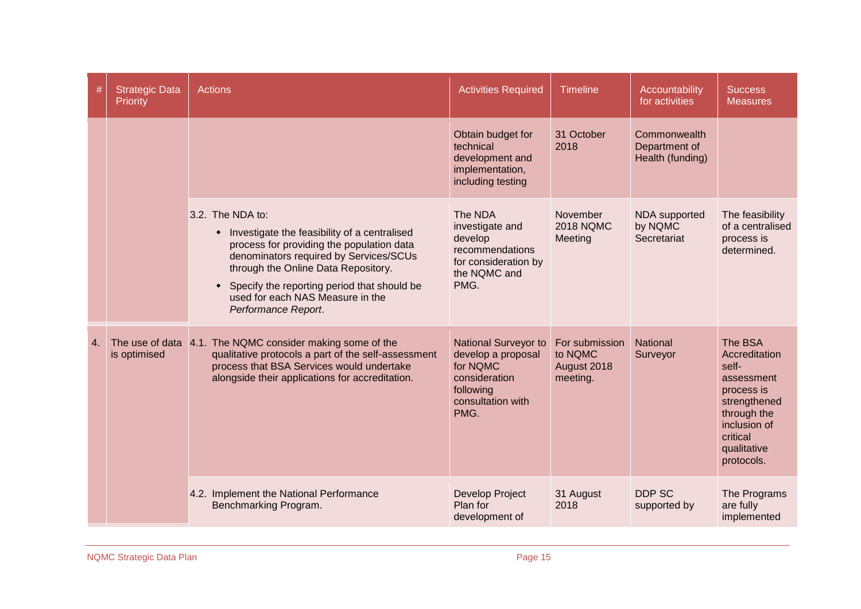| #  | <b>Strategic Data</b><br>Priority | <b>Actions</b>                                                                                                                                                                                                                                                                                             | <b>Activities Required</b>                                                                                        | <b>Timeline</b>                                      | Accountability<br>for activities                  | <b>Success</b><br><b>Measures</b>                                                                                                                     |
|----|-----------------------------------|------------------------------------------------------------------------------------------------------------------------------------------------------------------------------------------------------------------------------------------------------------------------------------------------------------|-------------------------------------------------------------------------------------------------------------------|------------------------------------------------------|---------------------------------------------------|-------------------------------------------------------------------------------------------------------------------------------------------------------|
|    |                                   |                                                                                                                                                                                                                                                                                                            | Obtain budget for<br>technical<br>development and<br>implementation,<br>including testing                         | 31 October<br>2018                                   | Commonwealth<br>Department of<br>Health (funding) |                                                                                                                                                       |
|    |                                   | 3.2. The NDA to:<br>• Investigate the feasibility of a centralised<br>process for providing the population data<br>denominators required by Services/SCUs<br>through the Online Data Repository.<br>Specify the reporting period that should be<br>used for each NAS Measure in the<br>Performance Report. | The NDA<br>investigate and<br>develop<br>recommendations<br>for consideration by<br>the NQMC and<br>PMG.          | November<br><b>2018 NQMC</b><br>Meeting              | NDA supported<br>by NQMC<br>Secretariat           | The feasibility<br>of a centralised<br>process is<br>determined.                                                                                      |
| 4. | The use of data<br>is optimised   | 4.1. The NQMC consider making some of the<br>qualitative protocols a part of the self-assessment<br>process that BSA Services would undertake<br>alongside their applications for accreditation.                                                                                                           | National Surveyor to<br>develop a proposal<br>for NQMC<br>consideration<br>following<br>consultation with<br>PMG. | For submission<br>to NQMC<br>August 2018<br>meeting. | <b>National</b><br>Surveyor                       | The BSA<br>Accreditation<br>self-<br>assessment<br>process is<br>strengthened<br>through the<br>inclusion of<br>critical<br>qualitative<br>protocols. |
|    |                                   | 4.2. Implement the National Performance<br>Benchmarking Program.                                                                                                                                                                                                                                           | <b>Develop Project</b><br>Plan for<br>development of                                                              | 31 August<br>2018                                    | DDP SC<br>supported by                            | The Programs<br>are fully<br>implemented                                                                                                              |